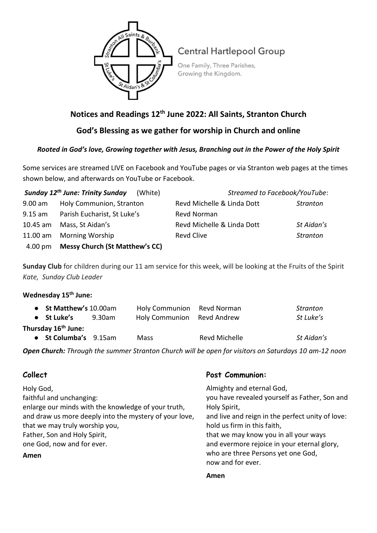

# **Central Hartlepool Group**

One Family, Three Parishes, Growing the Kingdom.

# **Notices and Readings 12th June 2022: All Saints, Stranton Church**

**God's Blessing as we gather for worship in Church and online**

### *Rooted in God's love, Growing together with Jesus, Branching out in the Power of the Holy Spirit*

Some services are streamed LIVE on Facebook and YouTube pages or via Stranton web pages at the times shown below, and afterwards on YouTube or Facebook.

|                   | Sunday 12 <sup>th</sup> June: Trinity Sunday<br>(White) | Streamed to Facebook/YouTube: |                 |  |
|-------------------|---------------------------------------------------------|-------------------------------|-----------------|--|
| 9.00 am           | Holy Communion, Stranton                                | Revd Michelle & Linda Dott    | <b>Stranton</b> |  |
| $9.15 \text{ am}$ | Parish Eucharist, St Luke's                             | Revd Norman                   |                 |  |
|                   | 10.45 am Mass, St Aidan's                               | Revd Michelle & Linda Dott    | St Aidan's      |  |
|                   | 11.00 am Morning Worship                                | Revd Clive                    | Stranton        |  |
|                   | 4.00 pm Messy Church (St Matthew's CC)                  |                               |                 |  |

**Sunday Club** for children during our 11 am service for this week, will be looking at the Fruits of the Spirit *Kate, Sunday Club Leader*

## **Wednesday 15th June:**

| • St Matthew's 10.00am          |        | Holy Communion Revd Norman |               | Stranton   |  |  |
|---------------------------------|--------|----------------------------|---------------|------------|--|--|
| • St Luke's                     | 9.30am | Holy Communion Revd Andrew |               | St Luke's  |  |  |
| Thursday 16 <sup>th</sup> June: |        |                            |               |            |  |  |
| • St Columba's 9.15am           |        | <b>Mass</b>                | Revd Michelle | St Aidan's |  |  |

*Open Church: Through the summer Stranton Church will be open for visitors on Saturdays 10 am-12 noon*

# **Collect**

Holy God, faithful and unchanging: enlarge our minds with the knowledge of your truth, and draw us more deeply into the mystery of your love, that we may truly worship you, Father, Son and Holy Spirit, one God, now and for ever.

#### **Amen**

#### **Post Communion:**

Almighty and eternal God, you have revealed yourself as Father, Son and Holy Spirit, and live and reign in the perfect unity of love: hold us firm in this faith, that we may know you in all your ways and evermore rejoice in your eternal glory, who are three Persons yet one God, now and for ever.

#### **Amen**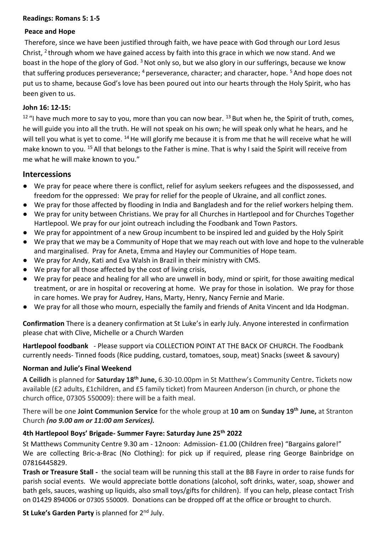#### **Readings: Romans 5: 1-5**

#### **Peace and Hope**

Therefore, since we have been justified through faith, we have peace with God through our Lord Jesus Christ, <sup>2</sup> through whom we have gained access by faith into this grace in which we now stand. And we boast in the hope of the glory of God.<sup>3</sup> Not only so, but we also glory in our sufferings, because we know that suffering produces perseverance; <sup>4</sup> perseverance, character; and character, hope. <sup>5</sup> And hope does not put us to shame, because God's love has been poured out into our hearts through the Holy Spirit, who has been given to us.

#### **John 16: 12-15:**

 $12$  "I have much more to say to you, more than you can now bear.  $13$  But when he, the Spirit of truth, comes, he will guide you into all the truth. He will not speak on his own; he will speak only what he hears, and he will tell you what is yet to come. <sup>14</sup> He will glorify me because it is from me that he will receive what he will make known to you. <sup>15</sup> All that belongs to the Father is mine. That is why I said the Spirit will receive from me what he will make known to you."

#### **Intercessions**

- We pray for peace where there is conflict, relief for asylum seekers refugees and the dispossessed, and freedom for the oppressed: We pray for relief for the people of Ukraine, and all conflict zones.
- We pray for those affected by flooding in India and Bangladesh and for the relief workers helping them.
- We pray for unity between Christians. We pray for all Churches in Hartlepool and for Churches Together Hartlepool. We pray for our joint outreach including the Foodbank and Town Pastors.
- We pray for appointment of a new Group incumbent to be inspired led and guided by the Holy Spirit
- We pray that we may be a Community of Hope that we may reach out with love and hope to the vulnerable and marginalised. Pray for Aneta, Emma and Hayley our Communities of Hope team.
- We pray for Andy, Kati and Eva Walsh in Brazil in their ministry with CMS.
- We pray for all those affected by the cost of living crisis,
- We pray for peace and healing for all who are unwell in body, mind or spirit, for those awaiting medical treatment, or are in hospital or recovering at home. We pray for those in isolation. We pray for those in care homes. We pray for Audrey, Hans, Marty, Henry, Nancy Fernie and Marie.
- We pray for all those who mourn, especially the family and friends of Anita Vincent and Ida Hodgman.

**Confirmation** There is a deanery confirmation at St Luke's in early July. Anyone interested in confirmation please chat with Clive, Michelle or a Church Warden

**Hartlepool foodbank** - Please support via COLLECTION POINT AT THE BACK OF CHURCH. The Foodbank currently needs- Tinned foods (Rice pudding, custard, tomatoes, soup, meat) Snacks (sweet & savoury)

#### **Norman and Julie's Final Weekend**

**A Ceilidh** is planned for **Saturday 18th June,** 6.30-10.00pm in St Matthew's Community Centre**.** Tickets now available (£2 adults, £1children, and £5 family ticket) from Maureen Anderson (in church, or phone the church office, 07305 550009): there will be a faith meal.

There will be one **Joint Communion Service** for the whole group at **10 am** on **Sunday 19 th June,** at Stranton Church *(no 9.00 am or 11:00 am Services).*

#### **4th Hartlepool Boys' Brigade- Summer Fayre: Saturday June 25th 2022**

St Matthews Community Centre 9.30 am - 12noon: Admission- £1.00 (Children free) "Bargains galore!" We are collecting Bric-a-Brac (No Clothing): for pick up if required, please ring George Bainbridge on 07816445829.

**Trash or Treasure Stall -** the social team will be running this stall at the BB Fayre in order to raise funds for parish social events. We would appreciate bottle donations (alcohol, soft drinks, water, soap, shower and bath gels, sauces, washing up liquids, also small toys/gifts for children). If you can help, please contact Trish on 01429 894006 or 07305 550009. Donations can be dropped off at the office or brought to church.

#### **St Luke's Garden Party** is planned for 2nd July.